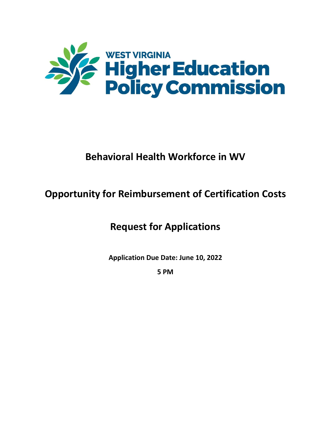

# **Behavioral Health Workforce in WV**

# **Opportunity for Reimbursement of Certification Costs**

## **Request for Applications**

**Application Due Date: June 10, 2022** 

**5 PM**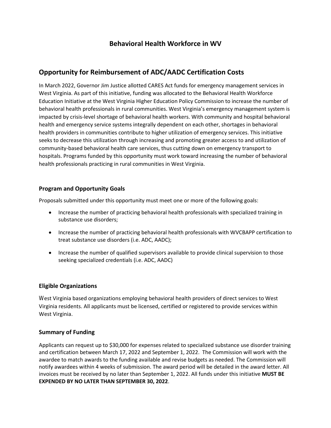### **Behavioral Health Workforce in WV**

### **Opportunity for Reimbursement of ADC/AADC Certification Costs**

In March 2022, Governor Jim Justice allotted CARES Act funds for emergency management services in West Virginia. As part of this initiative, funding was allocated to the Behavioral Health Workforce Education Initiative at the West Virginia Higher Education Policy Commission to increase the number of behavioral health professionals in rural communities. West Virginia's emergency management system is impacted by crisis-level shortage of behavioral health workers. With community and hospital behavioral health and emergency service systems integrally dependent on each other, shortages in behavioral health providers in communities contribute to higher utilization of emergency services. This initiative seeks to decrease this utilization through increasing and promoting greater access to and utilization of community-based behavioral health care services, thus cutting down on emergency transport to hospitals. Programs funded by this opportunity must work toward increasing the number of behavioral health professionals practicing in rural communities in West Virginia.

#### **Program and Opportunity Goals**

Proposals submitted under this opportunity must meet one or more of the following goals:

- Increase the number of practicing behavioral health professionals with specialized training in substance use disorders;
- Increase the number of practicing behavioral health professionals with WVCBAPP certification to treat substance use disorders (i.e. ADC, AADC);
- Increase the number of qualified supervisors available to provide clinical supervision to those seeking specialized credentials (i.e. ADC, AADC)

#### **Eligible Organizations**

 Virginia residents. All applicants must be licensed, certified or registered to provide services within West Virginia. West Virginia based organizations employing behavioral health providers of direct services to West

#### **Summary of Funding**

Applicants can request up to \$30,000 for expenses related to specialized substance use disorder training and certification between March 17, 2022 and September 1, 2022. The Commission will work with the awardee to match awards to the funding available and revise budgets as needed. The Commission will notify awardees within 4 weeks of submission. The award period will be detailed in the award letter. All invoices must be received by no later than September 1, 2022. All funds under this initiative **MUST BE EXPENDED BY NO LATER THAN SEPTEMBER 30, 2022**.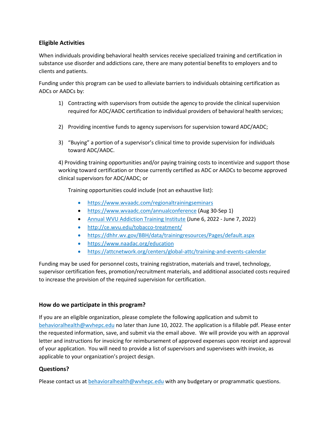#### **Eligible Activities**

When individuals providing behavioral health services receive specialized training and certification in substance use disorder and addictions care, there are many potential benefits to employers and to clients and patients.

Funding under this program can be used to alleviate barriers to individuals obtaining certification as ADCs or AADCs by:

- 1) Contracting with supervisors from outside the agency to provide the clinical supervision required for ADC/AADC certification to individual providers of behavioral health services;
- 2) Providing incentive funds to agency supervisors for supervision toward ADC/AADC;
- 3) "Buying" a portion of a supervisor's clinical time to provide supervision for individuals toward ADC/AADC.

4) Providing training opportunities and/or paying training costs to incentivize and support those working toward certification or those currently certified as ADC or AADCs to become approved clinical supervisors for ADC/AADC; or

Training opportunities could include (not an exhaustive list):

- <https://www.wvaadc.com/regionaltrainingseminars>
- <https://www.wvaadc.com/annualconference> (Aug 30-Sep 1)
- [Annual WVU Addiction Training Institute](https://www.hsc.wvu.edu/media/17005/ati-2022-brochure.pdf) (June 6, 2022 June 7, 2022)
- <http://ce.wvu.edu/tobacco-treatment/>
- <https://dhhr.wv.gov/BBH/data/trainingresources/Pages/default.aspx>
- <https://www.naadac.org/education>
- <https://attcnetwork.org/centers/global-attc/training-and-events-calendar>

Funding may be used for personnel costs, training registration, materials and travel, technology, supervisor certification fees, promotion/recruitment materials, and additional associated costs required to increase the provision of the required supervision for certification.

#### **How do we participate in this program?**

If you are an eligible organization, please complete the following application and submit to [behavioralhealth@wvhepc.edu](mailto:behavioralhealth@wvhepc.edu) no later than June 10, 2022. The application is a fillable pdf. Please enter the requested information, save, and submit via the email above. We will provide you with an approval letter and instructions for invoicing for reimbursement of approved expenses upon receipt and approval of your application. You will need to provide a list of supervisors and supervisees with invoice, as applicable to your organization's project design.

#### **Questions?**

Please contact us at [behavioralhealth@wvhepc.edu](mailto:behavioralhealth@wvhepc.edu) with any budgetary or programmatic questions.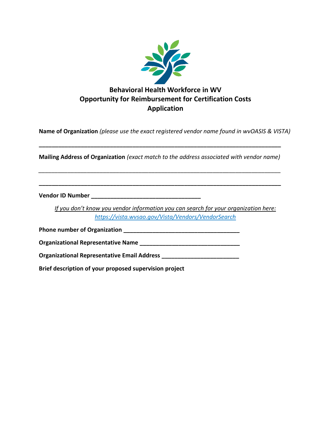

**Name of Organization** *(please use the exact registered vendor name found in wvOASIS & VISTA)*

**Mailing Address of Organization** *(exact match to the address associated with vendor name)*

*\_\_\_\_\_\_\_\_\_\_\_\_\_\_\_\_\_\_\_\_\_\_\_\_\_\_\_\_\_\_\_\_\_\_\_\_\_\_\_\_\_\_\_\_\_\_\_\_\_\_\_\_\_\_\_\_\_\_\_\_\_\_\_\_\_\_\_\_\_\_\_\_\_\_\_*

**\_\_\_\_\_\_\_\_\_\_\_\_\_\_\_\_\_\_\_\_\_\_\_\_\_\_\_\_\_\_\_\_\_\_\_\_\_\_\_\_\_\_\_\_\_\_\_\_\_\_\_\_\_\_\_\_\_\_\_\_\_\_\_\_\_\_\_\_\_\_\_\_\_\_\_**

**\_\_\_\_\_\_\_\_\_\_\_\_\_\_\_\_\_\_\_\_\_\_\_\_\_\_\_\_\_\_\_\_\_\_\_\_\_\_\_\_\_\_\_\_\_\_\_\_\_\_\_\_\_\_\_\_\_\_\_\_\_\_\_\_\_\_\_\_\_\_\_\_\_\_\_**

**Vendor ID Number \_\_\_\_\_\_\_\_\_\_\_\_\_\_\_\_\_\_\_\_\_\_\_\_\_\_\_\_\_\_\_\_\_\_**

*If you don't know you vendor information you can search for your organization here: <https://vista.wvsao.gov/Vista/Vendors/VendorSearch>*

**Phone number of Organization \_\_\_\_\_\_\_\_\_\_\_\_\_\_\_\_\_\_\_\_\_\_\_\_\_\_\_\_\_\_\_\_\_\_\_\_**

**Organizational Representative Name \_\_\_\_\_\_\_\_\_\_\_\_\_\_\_\_\_\_\_\_\_\_\_\_\_\_\_\_\_\_\_**

**Organizational Representative Email Address \_\_\_\_\_\_\_\_\_\_\_\_\_\_\_\_\_\_\_\_\_\_\_\_**

**Brief description of your proposed supervision project**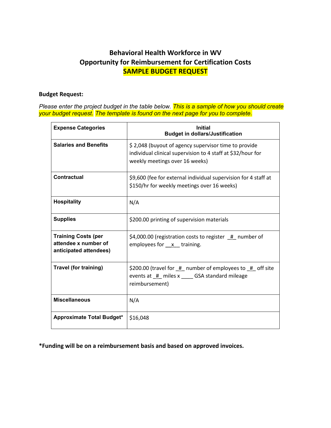### **Behavioral Health Workforce in WV Opportunity for Reimbursement for Certification Costs SAMPLE BUDGET REQUEST**

#### **Budget Request:**

*Please enter the project budget in the table below. This is a sample of how you should create your budget request. The template is found on the next page for you to complete.*

| <b>Expense Categories</b>                                                    | <b>Initial</b><br><b>Budget in dollars/Justification</b>                                                                                              |
|------------------------------------------------------------------------------|-------------------------------------------------------------------------------------------------------------------------------------------------------|
| <b>Salaries and Benefits</b>                                                 | \$2,048 (buyout of agency supervisor time to provide<br>individual clinical supervision to 4 staff at \$32/hour for<br>weekly meetings over 16 weeks) |
| Contractual                                                                  | \$9,600 (fee for external individual supervision for 4 staff at<br>\$150/hr for weekly meetings over 16 weeks)                                        |
| <b>Hospitality</b>                                                           | N/A                                                                                                                                                   |
| <b>Supplies</b>                                                              | \$200.00 printing of supervision materials                                                                                                            |
| <b>Training Costs (per</b><br>attendee x number of<br>anticipated attendees) | $$4,000.00$ (registration costs to register $#$ number of<br>employees for $x$ training.                                                              |
| Travel (for training)                                                        | \$200.00 (travel for $#$ number of employees to $#$ off site<br>events at # miles x GSA standard mileage<br>reimbursement)                            |
| <b>Miscellaneous</b>                                                         | N/A                                                                                                                                                   |
| <b>Approximate Total Budget*</b>                                             | \$16,048                                                                                                                                              |

**\*Funding will be on a reimbursement basis and based on approved invoices.**